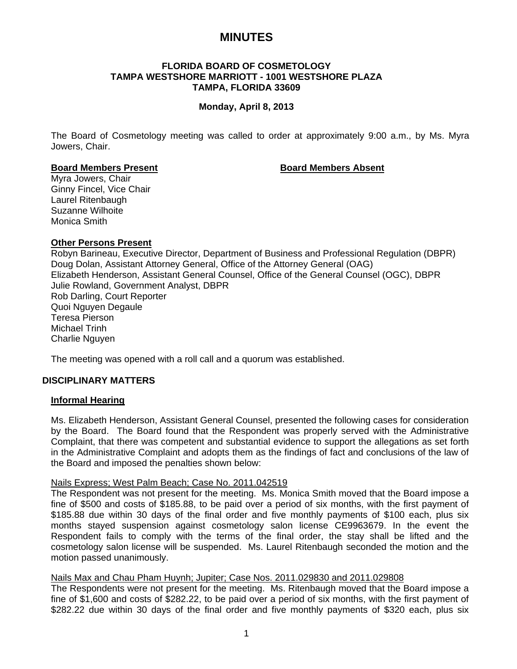# **MINUTES**

## **FLORIDA BOARD OF COSMETOLOGY TAMPA WESTSHORE MARRIOTT - 1001 WESTSHORE PLAZA TAMPA, FLORIDA 33609**

## **Monday, April 8, 2013**

The Board of Cosmetology meeting was called to order at approximately 9:00 a.m., by Ms. Myra Jowers, Chair.

## **Board Members Present Communist Board Members Absent**

Myra Jowers, Chair Ginny Fincel, Vice Chair Laurel Ritenbaugh Suzanne Wilhoite Monica Smith

## **Other Persons Present**

Robyn Barineau, Executive Director, Department of Business and Professional Regulation (DBPR) Doug Dolan, Assistant Attorney General, Office of the Attorney General (OAG) Elizabeth Henderson, Assistant General Counsel, Office of the General Counsel (OGC), DBPR Julie Rowland, Government Analyst, DBPR Rob Darling, Court Reporter Quoi Nguyen Degaule Teresa Pierson Michael Trinh Charlie Nguyen

The meeting was opened with a roll call and a quorum was established.

## **DISCIPLINARY MATTERS**

## **Informal Hearing**

Ms. Elizabeth Henderson, Assistant General Counsel, presented the following cases for consideration by the Board. The Board found that the Respondent was properly served with the Administrative Complaint, that there was competent and substantial evidence to support the allegations as set forth in the Administrative Complaint and adopts them as the findings of fact and conclusions of the law of the Board and imposed the penalties shown below:

#### Nails Express; West Palm Beach; Case No. 2011.042519

The Respondent was not present for the meeting. Ms. Monica Smith moved that the Board impose a fine of \$500 and costs of \$185.88, to be paid over a period of six months, with the first payment of \$185.88 due within 30 days of the final order and five monthly payments of \$100 each, plus six months stayed suspension against cosmetology salon license CE9963679. In the event the Respondent fails to comply with the terms of the final order, the stay shall be lifted and the cosmetology salon license will be suspended. Ms. Laurel Ritenbaugh seconded the motion and the motion passed unanimously.

## Nails Max and Chau Pham Huynh; Jupiter; Case Nos. 2011.029830 and 2011.029808

The Respondents were not present for the meeting. Ms. Ritenbaugh moved that the Board impose a fine of \$1,600 and costs of \$282.22, to be paid over a period of six months, with the first payment of \$282.22 due within 30 days of the final order and five monthly payments of \$320 each, plus six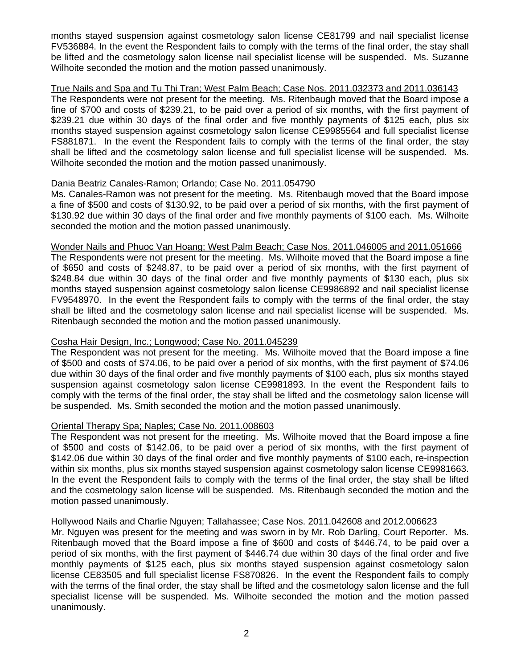months stayed suspension against cosmetology salon license CE81799 and nail specialist license FV536884. In the event the Respondent fails to comply with the terms of the final order, the stay shall be lifted and the cosmetology salon license nail specialist license will be suspended. Ms. Suzanne Wilhoite seconded the motion and the motion passed unanimously.

## True Nails and Spa and Tu Thi Tran; West Palm Beach; Case Nos. 2011.032373 and 2011.036143

The Respondents were not present for the meeting. Ms. Ritenbaugh moved that the Board impose a fine of \$700 and costs of \$239.21, to be paid over a period of six months, with the first payment of \$239.21 due within 30 days of the final order and five monthly payments of \$125 each, plus six months stayed suspension against cosmetology salon license CE9985564 and full specialist license FS881871. In the event the Respondent fails to comply with the terms of the final order, the stay shall be lifted and the cosmetology salon license and full specialist license will be suspended. Ms. Wilhoite seconded the motion and the motion passed unanimously.

## Dania Beatriz Canales-Ramon; Orlando; Case No. 2011.054790

Ms. Canales-Ramon was not present for the meeting. Ms. Ritenbaugh moved that the Board impose a fine of \$500 and costs of \$130.92, to be paid over a period of six months, with the first payment of \$130.92 due within 30 days of the final order and five monthly payments of \$100 each. Ms. Wilhoite seconded the motion and the motion passed unanimously.

## Wonder Nails and Phuoc Van Hoang; West Palm Beach; Case Nos. 2011.046005 and 2011.051666

The Respondents were not present for the meeting. Ms. Wilhoite moved that the Board impose a fine of \$650 and costs of \$248.87, to be paid over a period of six months, with the first payment of \$248.84 due within 30 days of the final order and five monthly payments of \$130 each, plus six months stayed suspension against cosmetology salon license CE9986892 and nail specialist license FV9548970. In the event the Respondent fails to comply with the terms of the final order, the stay shall be lifted and the cosmetology salon license and nail specialist license will be suspended. Ms. Ritenbaugh seconded the motion and the motion passed unanimously.

## Cosha Hair Design, Inc.; Longwood; Case No. 2011.045239

The Respondent was not present for the meeting. Ms. Wilhoite moved that the Board impose a fine of \$500 and costs of \$74.06, to be paid over a period of six months, with the first payment of \$74.06 due within 30 days of the final order and five monthly payments of \$100 each, plus six months stayed suspension against cosmetology salon license CE9981893. In the event the Respondent fails to comply with the terms of the final order, the stay shall be lifted and the cosmetology salon license will be suspended. Ms. Smith seconded the motion and the motion passed unanimously.

## Oriental Therapy Spa; Naples; Case No. 2011.008603

The Respondent was not present for the meeting. Ms. Wilhoite moved that the Board impose a fine of \$500 and costs of \$142.06, to be paid over a period of six months, with the first payment of \$142.06 due within 30 days of the final order and five monthly payments of \$100 each, re-inspection within six months, plus six months stayed suspension against cosmetology salon license CE9981663. In the event the Respondent fails to comply with the terms of the final order, the stay shall be lifted and the cosmetology salon license will be suspended. Ms. Ritenbaugh seconded the motion and the motion passed unanimously.

## Hollywood Nails and Charlie Nguyen; Tallahassee; Case Nos. 2011.042608 and 2012.006623

Mr. Nguyen was present for the meeting and was sworn in by Mr. Rob Darling, Court Reporter. Ms. Ritenbaugh moved that the Board impose a fine of \$600 and costs of \$446.74, to be paid over a period of six months, with the first payment of \$446.74 due within 30 days of the final order and five monthly payments of \$125 each, plus six months stayed suspension against cosmetology salon license CE83505 and full specialist license FS870826. In the event the Respondent fails to comply with the terms of the final order, the stay shall be lifted and the cosmetology salon license and the full specialist license will be suspended. Ms. Wilhoite seconded the motion and the motion passed unanimously.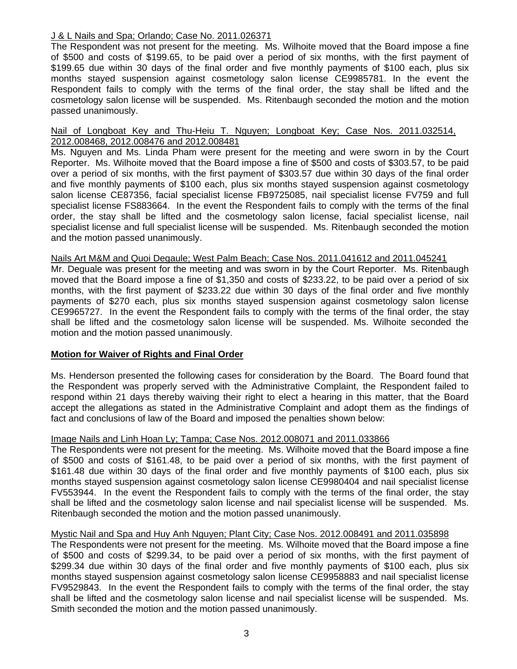## J & L Nails and Spa; Orlando; Case No. 2011.026371

The Respondent was not present for the meeting. Ms. Wilhoite moved that the Board impose a fine of \$500 and costs of \$199.65, to be paid over a period of six months, with the first payment of \$199.65 due within 30 days of the final order and five monthly payments of \$100 each, plus six months stayed suspension against cosmetology salon license CE9985781. In the event the Respondent fails to comply with the terms of the final order, the stay shall be lifted and the cosmetology salon license will be suspended. Ms. Ritenbaugh seconded the motion and the motion passed unanimously.

## Nail of Longboat Key and Thu-Heiu T. Nguyen; Longboat Key; Case Nos. 2011.032514, 2012.008468, 2012.008476 and 2012.008481

Ms. Nguyen and Ms. Linda Pham were present for the meeting and were sworn in by the Court Reporter. Ms. Wilhoite moved that the Board impose a fine of \$500 and costs of \$303.57, to be paid over a period of six months, with the first payment of \$303.57 due within 30 days of the final order and five monthly payments of \$100 each, plus six months stayed suspension against cosmetology salon license CE87356, facial specialist license FB9725085, nail specialist license FV759 and full specialist license FS883664. In the event the Respondent fails to comply with the terms of the final order, the stay shall be lifted and the cosmetology salon license, facial specialist license, nail specialist license and full specialist license will be suspended. Ms. Ritenbaugh seconded the motion and the motion passed unanimously.

## Nails Art M&M and Quoi Degaule; West Palm Beach; Case Nos. 2011.041612 and 2011.045241

Mr. Deguale was present for the meeting and was sworn in by the Court Reporter. Ms. Ritenbaugh moved that the Board impose a fine of \$1,350 and costs of \$233.22, to be paid over a period of six months, with the first payment of \$233.22 due within 30 days of the final order and five monthly payments of \$270 each, plus six months stayed suspension against cosmetology salon license CE9965727. In the event the Respondent fails to comply with the terms of the final order, the stay shall be lifted and the cosmetology salon license will be suspended. Ms. Wilhoite seconded the motion and the motion passed unanimously.

## **Motion for Waiver of Rights and Final Order**

Ms. Henderson presented the following cases for consideration by the Board. The Board found that the Respondent was properly served with the Administrative Complaint, the Respondent failed to respond within 21 days thereby waiving their right to elect a hearing in this matter, that the Board accept the allegations as stated in the Administrative Complaint and adopt them as the findings of fact and conclusions of law of the Board and imposed the penalties shown below:

## Image Nails and Linh Hoan Ly; Tampa; Case Nos. 2012.008071 and 2011.033866

The Respondents were not present for the meeting. Ms. Wilhoite moved that the Board impose a fine of \$500 and costs of \$161.48, to be paid over a period of six months, with the first payment of \$161.48 due within 30 days of the final order and five monthly payments of \$100 each, plus six months stayed suspension against cosmetology salon license CE9980404 and nail specialist license FV553944. In the event the Respondent fails to comply with the terms of the final order, the stay shall be lifted and the cosmetology salon license and nail specialist license will be suspended. Ms. Ritenbaugh seconded the motion and the motion passed unanimously.

## Mystic Nail and Spa and Huy Anh Nguyen; Plant City; Case Nos. 2012.008491 and 2011.035898

The Respondents were not present for the meeting. Ms. Wilhoite moved that the Board impose a fine of \$500 and costs of \$299.34, to be paid over a period of six months, with the first payment of \$299.34 due within 30 days of the final order and five monthly payments of \$100 each, plus six months stayed suspension against cosmetology salon license CE9958883 and nail specialist license FV9529843. In the event the Respondent fails to comply with the terms of the final order, the stay shall be lifted and the cosmetology salon license and nail specialist license will be suspended. Ms. Smith seconded the motion and the motion passed unanimously.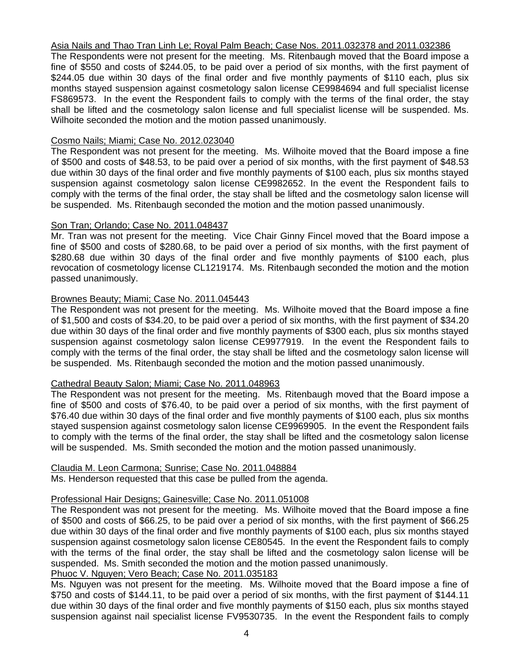## Asia Nails and Thao Tran Linh Le; Royal Palm Beach; Case Nos. 2011.032378 and 2011.032386

The Respondents were not present for the meeting. Ms. Ritenbaugh moved that the Board impose a fine of \$550 and costs of \$244.05, to be paid over a period of six months, with the first payment of \$244.05 due within 30 days of the final order and five monthly payments of \$110 each, plus six months stayed suspension against cosmetology salon license CE9984694 and full specialist license FS869573. In the event the Respondent fails to comply with the terms of the final order, the stay shall be lifted and the cosmetology salon license and full specialist license will be suspended. Ms. Wilhoite seconded the motion and the motion passed unanimously.

## Cosmo Nails; Miami; Case No. 2012.023040

The Respondent was not present for the meeting. Ms. Wilhoite moved that the Board impose a fine of \$500 and costs of \$48.53, to be paid over a period of six months, with the first payment of \$48.53 due within 30 days of the final order and five monthly payments of \$100 each, plus six months stayed suspension against cosmetology salon license CE9982652. In the event the Respondent fails to comply with the terms of the final order, the stay shall be lifted and the cosmetology salon license will be suspended. Ms. Ritenbaugh seconded the motion and the motion passed unanimously.

## Son Tran; Orlando; Case No. 2011.048437

Mr. Tran was not present for the meeting. Vice Chair Ginny Fincel moved that the Board impose a fine of \$500 and costs of \$280.68, to be paid over a period of six months, with the first payment of \$280.68 due within 30 days of the final order and five monthly payments of \$100 each, plus revocation of cosmetology license CL1219174. Ms. Ritenbaugh seconded the motion and the motion passed unanimously.

## Brownes Beauty; Miami; Case No. 2011.045443

The Respondent was not present for the meeting. Ms. Wilhoite moved that the Board impose a fine of \$1,500 and costs of \$34.20, to be paid over a period of six months, with the first payment of \$34.20 due within 30 days of the final order and five monthly payments of \$300 each, plus six months stayed suspension against cosmetology salon license CE9977919. In the event the Respondent fails to comply with the terms of the final order, the stay shall be lifted and the cosmetology salon license will be suspended. Ms. Ritenbaugh seconded the motion and the motion passed unanimously.

## Cathedral Beauty Salon; Miami; Case No. 2011.048963

The Respondent was not present for the meeting. Ms. Ritenbaugh moved that the Board impose a fine of \$500 and costs of \$76.40, to be paid over a period of six months, with the first payment of \$76.40 due within 30 days of the final order and five monthly payments of \$100 each, plus six months stayed suspension against cosmetology salon license CE9969905. In the event the Respondent fails to comply with the terms of the final order, the stay shall be lifted and the cosmetology salon license will be suspended. Ms. Smith seconded the motion and the motion passed unanimously.

## Claudia M. Leon Carmona; Sunrise; Case No. 2011.048884

Ms. Henderson requested that this case be pulled from the agenda.

## Professional Hair Designs; Gainesville; Case No. 2011.051008

The Respondent was not present for the meeting. Ms. Wilhoite moved that the Board impose a fine of \$500 and costs of \$66.25, to be paid over a period of six months, with the first payment of \$66.25 due within 30 days of the final order and five monthly payments of \$100 each, plus six months stayed suspension against cosmetology salon license CE80545. In the event the Respondent fails to comply with the terms of the final order, the stay shall be lifted and the cosmetology salon license will be suspended. Ms. Smith seconded the motion and the motion passed unanimously.

# Phuoc V. Nguyen; Vero Beach; Case No. 2011.035183

Ms. Nguyen was not present for the meeting. Ms. Wilhoite moved that the Board impose a fine of \$750 and costs of \$144.11, to be paid over a period of six months, with the first payment of \$144.11 due within 30 days of the final order and five monthly payments of \$150 each, plus six months stayed suspension against nail specialist license FV9530735. In the event the Respondent fails to comply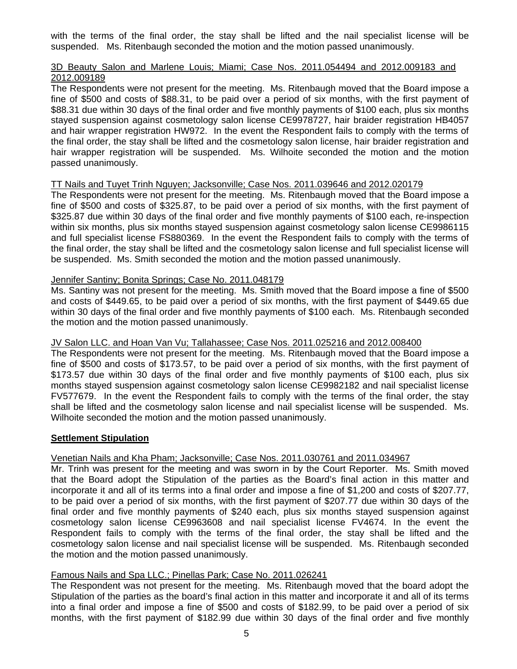with the terms of the final order, the stay shall be lifted and the nail specialist license will be suspended. Ms. Ritenbaugh seconded the motion and the motion passed unanimously.

## 3D Beauty Salon and Marlene Louis; Miami; Case Nos. 2011.054494 and 2012.009183 and 2012.009189

The Respondents were not present for the meeting. Ms. Ritenbaugh moved that the Board impose a fine of \$500 and costs of \$88.31, to be paid over a period of six months, with the first payment of \$88.31 due within 30 days of the final order and five monthly payments of \$100 each, plus six months stayed suspension against cosmetology salon license CE9978727, hair braider registration HB4057 and hair wrapper registration HW972. In the event the Respondent fails to comply with the terms of the final order, the stay shall be lifted and the cosmetology salon license, hair braider registration and hair wrapper registration will be suspended. Ms. Wilhoite seconded the motion and the motion passed unanimously.

## TT Nails and Tuyet Trinh Nguyen; Jacksonville; Case Nos. 2011.039646 and 2012.020179

The Respondents were not present for the meeting. Ms. Ritenbaugh moved that the Board impose a fine of \$500 and costs of \$325.87, to be paid over a period of six months, with the first payment of \$325.87 due within 30 days of the final order and five monthly payments of \$100 each, re-inspection within six months, plus six months stayed suspension against cosmetology salon license CE9986115 and full specialist license FS880369. In the event the Respondent fails to comply with the terms of the final order, the stay shall be lifted and the cosmetology salon license and full specialist license will be suspended. Ms. Smith seconded the motion and the motion passed unanimously.

## Jennifer Santiny; Bonita Springs; Case No. 2011.048179

Ms. Santiny was not present for the meeting. Ms. Smith moved that the Board impose a fine of \$500 and costs of \$449.65, to be paid over a period of six months, with the first payment of \$449.65 due within 30 days of the final order and five monthly payments of \$100 each. Ms. Ritenbaugh seconded the motion and the motion passed unanimously.

## JV Salon LLC. and Hoan Van Vu; Tallahassee; Case Nos. 2011.025216 and 2012.008400

The Respondents were not present for the meeting. Ms. Ritenbaugh moved that the Board impose a fine of \$500 and costs of \$173.57, to be paid over a period of six months, with the first payment of \$173.57 due within 30 days of the final order and five monthly payments of \$100 each, plus six months stayed suspension against cosmetology salon license CE9982182 and nail specialist license FV577679. In the event the Respondent fails to comply with the terms of the final order, the stay shall be lifted and the cosmetology salon license and nail specialist license will be suspended. Ms. Wilhoite seconded the motion and the motion passed unanimously.

## **Settlement Stipulation**

## Venetian Nails and Kha Pham; Jacksonville; Case Nos. 2011.030761 and 2011.034967

Mr. Trinh was present for the meeting and was sworn in by the Court Reporter. Ms. Smith moved that the Board adopt the Stipulation of the parties as the Board's final action in this matter and incorporate it and all of its terms into a final order and impose a fine of \$1,200 and costs of \$207.77, to be paid over a period of six months, with the first payment of \$207.77 due within 30 days of the final order and five monthly payments of \$240 each, plus six months stayed suspension against cosmetology salon license CE9963608 and nail specialist license FV4674. In the event the Respondent fails to comply with the terms of the final order, the stay shall be lifted and the cosmetology salon license and nail specialist license will be suspended. Ms. Ritenbaugh seconded the motion and the motion passed unanimously.

# Famous Nails and Spa LLC.; Pinellas Park; Case No. 2011.026241

The Respondent was not present for the meeting. Ms. Ritenbaugh moved that the board adopt the Stipulation of the parties as the board's final action in this matter and incorporate it and all of its terms into a final order and impose a fine of \$500 and costs of \$182.99, to be paid over a period of six months, with the first payment of \$182.99 due within 30 days of the final order and five monthly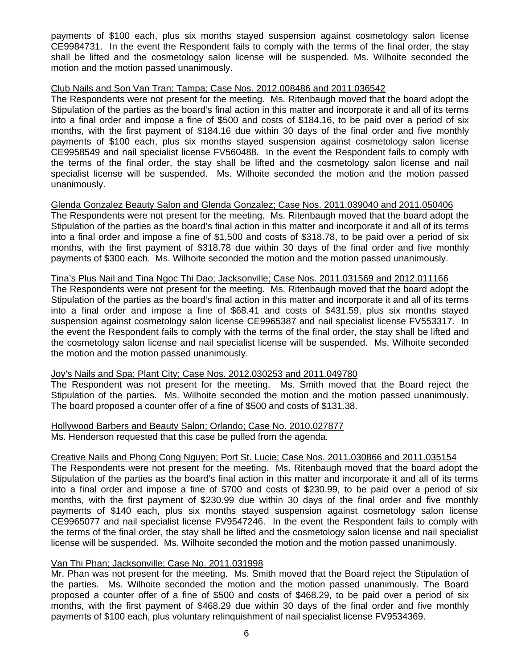payments of \$100 each, plus six months stayed suspension against cosmetology salon license CE9984731. In the event the Respondent fails to comply with the terms of the final order, the stay shall be lifted and the cosmetology salon license will be suspended. Ms. Wilhoite seconded the motion and the motion passed unanimously.

## Club Nails and Son Van Tran; Tampa; Case Nos. 2012.008486 and 2011.036542

The Respondents were not present for the meeting. Ms. Ritenbaugh moved that the board adopt the Stipulation of the parties as the board's final action in this matter and incorporate it and all of its terms into a final order and impose a fine of \$500 and costs of \$184.16, to be paid over a period of six months, with the first payment of \$184.16 due within 30 days of the final order and five monthly payments of \$100 each, plus six months stayed suspension against cosmetology salon license CE9958549 and nail specialist license FV560488. In the event the Respondent fails to comply with the terms of the final order, the stay shall be lifted and the cosmetology salon license and nail specialist license will be suspended. Ms. Wilhoite seconded the motion and the motion passed unanimously.

## Glenda Gonzalez Beauty Salon and Glenda Gonzalez; Case Nos. 2011.039040 and 2011.050406

The Respondents were not present for the meeting. Ms. Ritenbaugh moved that the board adopt the Stipulation of the parties as the board's final action in this matter and incorporate it and all of its terms into a final order and impose a fine of \$1,500 and costs of \$318.78, to be paid over a period of six months, with the first payment of \$318.78 due within 30 days of the final order and five monthly payments of \$300 each. Ms. Wilhoite seconded the motion and the motion passed unanimously.

## Tina's Plus Nail and Tina Ngoc Thi Dao; Jacksonville; Case Nos. 2011.031569 and 2012.011166

The Respondents were not present for the meeting. Ms. Ritenbaugh moved that the board adopt the Stipulation of the parties as the board's final action in this matter and incorporate it and all of its terms into a final order and impose a fine of \$68.41 and costs of \$431.59, plus six months stayed suspension against cosmetology salon license CE9965387 and nail specialist license FV553317. In the event the Respondent fails to comply with the terms of the final order, the stay shall be lifted and the cosmetology salon license and nail specialist license will be suspended. Ms. Wilhoite seconded the motion and the motion passed unanimously.

## Joy's Nails and Spa; Plant City; Case Nos. 2012.030253 and 2011.049780

The Respondent was not present for the meeting. Ms. Smith moved that the Board reject the Stipulation of the parties. Ms. Wilhoite seconded the motion and the motion passed unanimously. The board proposed a counter offer of a fine of \$500 and costs of \$131.38.

## Hollywood Barbers and Beauty Salon; Orlando; Case No. 2010.027877 Ms. Henderson requested that this case be pulled from the agenda.

## Creative Nails and Phong Cong Nguyen; Port St. Lucie; Case Nos. 2011.030866 and 2011.035154

The Respondents were not present for the meeting. Ms. Ritenbaugh moved that the board adopt the Stipulation of the parties as the board's final action in this matter and incorporate it and all of its terms into a final order and impose a fine of \$700 and costs of \$230.99, to be paid over a period of six months, with the first payment of \$230.99 due within 30 days of the final order and five monthly payments of \$140 each, plus six months stayed suspension against cosmetology salon license CE9965077 and nail specialist license FV9547246. In the event the Respondent fails to comply with the terms of the final order, the stay shall be lifted and the cosmetology salon license and nail specialist license will be suspended. Ms. Wilhoite seconded the motion and the motion passed unanimously.

## Van Thi Phan; Jacksonville; Case No. 2011.031998

Mr. Phan was not present for the meeting. Ms. Smith moved that the Board reject the Stipulation of the parties. Ms. Wilhoite seconded the motion and the motion passed unanimously. The Board proposed a counter offer of a fine of \$500 and costs of \$468.29, to be paid over a period of six months, with the first payment of \$468.29 due within 30 days of the final order and five monthly payments of \$100 each, plus voluntary relinquishment of nail specialist license FV9534369.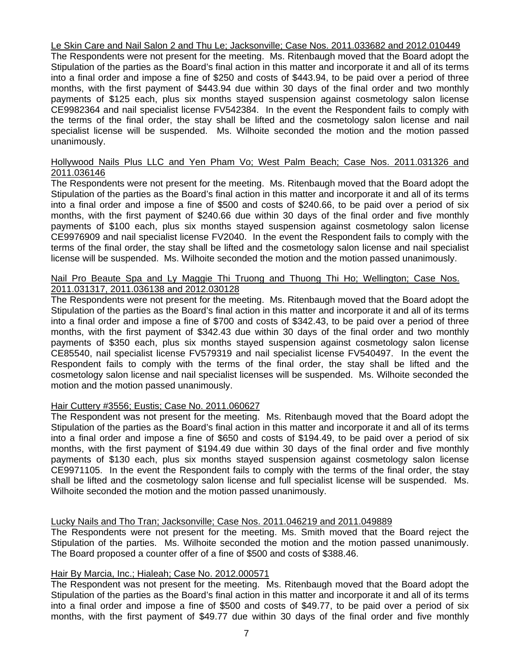## Le Skin Care and Nail Salon 2 and Thu Le; Jacksonville; Case Nos. 2011.033682 and 2012.010449

The Respondents were not present for the meeting. Ms. Ritenbaugh moved that the Board adopt the Stipulation of the parties as the Board's final action in this matter and incorporate it and all of its terms into a final order and impose a fine of \$250 and costs of \$443.94, to be paid over a period of three months, with the first payment of \$443.94 due within 30 days of the final order and two monthly payments of \$125 each, plus six months stayed suspension against cosmetology salon license CE9982364 and nail specialist license FV542384. In the event the Respondent fails to comply with the terms of the final order, the stay shall be lifted and the cosmetology salon license and nail specialist license will be suspended. Ms. Wilhoite seconded the motion and the motion passed unanimously.

## Hollywood Nails Plus LLC and Yen Pham Vo; West Palm Beach; Case Nos. 2011.031326 and 2011.036146

The Respondents were not present for the meeting. Ms. Ritenbaugh moved that the Board adopt the Stipulation of the parties as the Board's final action in this matter and incorporate it and all of its terms into a final order and impose a fine of \$500 and costs of \$240.66, to be paid over a period of six months, with the first payment of \$240.66 due within 30 days of the final order and five monthly payments of \$100 each, plus six months stayed suspension against cosmetology salon license CE9976909 and nail specialist license FV2040. In the event the Respondent fails to comply with the terms of the final order, the stay shall be lifted and the cosmetology salon license and nail specialist license will be suspended. Ms. Wilhoite seconded the motion and the motion passed unanimously.

## Nail Pro Beaute Spa and Ly Maggie Thi Truong and Thuong Thi Ho; Wellington; Case Nos. 2011.031317, 2011.036138 and 2012.030128

The Respondents were not present for the meeting. Ms. Ritenbaugh moved that the Board adopt the Stipulation of the parties as the Board's final action in this matter and incorporate it and all of its terms into a final order and impose a fine of \$700 and costs of \$342.43, to be paid over a period of three months, with the first payment of \$342.43 due within 30 days of the final order and two monthly payments of \$350 each, plus six months stayed suspension against cosmetology salon license CE85540, nail specialist license FV579319 and nail specialist license FV540497. In the event the Respondent fails to comply with the terms of the final order, the stay shall be lifted and the cosmetology salon license and nail specialist licenses will be suspended. Ms. Wilhoite seconded the motion and the motion passed unanimously.

## Hair Cuttery #3556; Eustis; Case No. 2011.060627

The Respondent was not present for the meeting. Ms. Ritenbaugh moved that the Board adopt the Stipulation of the parties as the Board's final action in this matter and incorporate it and all of its terms into a final order and impose a fine of \$650 and costs of \$194.49, to be paid over a period of six months, with the first payment of \$194.49 due within 30 days of the final order and five monthly payments of \$130 each, plus six months stayed suspension against cosmetology salon license CE9971105. In the event the Respondent fails to comply with the terms of the final order, the stay shall be lifted and the cosmetology salon license and full specialist license will be suspended. Ms. Wilhoite seconded the motion and the motion passed unanimously.

## Lucky Nails and Tho Tran; Jacksonville; Case Nos. 2011.046219 and 2011.049889

The Respondents were not present for the meeting. Ms. Smith moved that the Board reject the Stipulation of the parties. Ms. Wilhoite seconded the motion and the motion passed unanimously. The Board proposed a counter offer of a fine of \$500 and costs of \$388.46.

## Hair By Marcia, Inc.; Hialeah; Case No. 2012.000571

The Respondent was not present for the meeting. Ms. Ritenbaugh moved that the Board adopt the Stipulation of the parties as the Board's final action in this matter and incorporate it and all of its terms into a final order and impose a fine of \$500 and costs of \$49.77, to be paid over a period of six months, with the first payment of \$49.77 due within 30 days of the final order and five monthly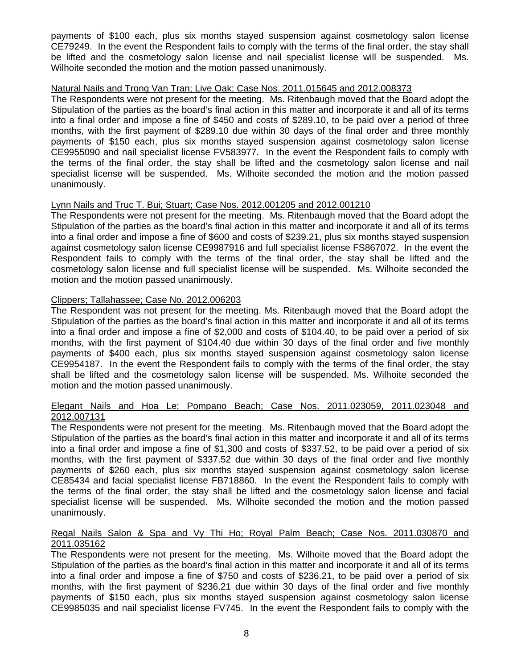payments of \$100 each, plus six months stayed suspension against cosmetology salon license CE79249. In the event the Respondent fails to comply with the terms of the final order, the stay shall be lifted and the cosmetology salon license and nail specialist license will be suspended. Ms. Wilhoite seconded the motion and the motion passed unanimously.

## Natural Nails and Trong Van Tran; Live Oak; Case Nos. 2011.015645 and 2012.008373

The Respondents were not present for the meeting. Ms. Ritenbaugh moved that the Board adopt the Stipulation of the parties as the board's final action in this matter and incorporate it and all of its terms into a final order and impose a fine of \$450 and costs of \$289.10, to be paid over a period of three months, with the first payment of \$289.10 due within 30 days of the final order and three monthly payments of \$150 each, plus six months stayed suspension against cosmetology salon license CE9955090 and nail specialist license FV583977. In the event the Respondent fails to comply with the terms of the final order, the stay shall be lifted and the cosmetology salon license and nail specialist license will be suspended. Ms. Wilhoite seconded the motion and the motion passed unanimously.

## Lynn Nails and Truc T. Bui; Stuart; Case Nos. 2012.001205 and 2012.001210

The Respondents were not present for the meeting. Ms. Ritenbaugh moved that the Board adopt the Stipulation of the parties as the board's final action in this matter and incorporate it and all of its terms into a final order and impose a fine of \$600 and costs of \$239.21, plus six months stayed suspension against cosmetology salon license CE9987916 and full specialist license FS867072. In the event the Respondent fails to comply with the terms of the final order, the stay shall be lifted and the cosmetology salon license and full specialist license will be suspended. Ms. Wilhoite seconded the motion and the motion passed unanimously.

## Clippers; Tallahassee; Case No. 2012.006203

The Respondent was not present for the meeting. Ms. Ritenbaugh moved that the Board adopt the Stipulation of the parties as the board's final action in this matter and incorporate it and all of its terms into a final order and impose a fine of \$2,000 and costs of \$104.40, to be paid over a period of six months, with the first payment of \$104.40 due within 30 days of the final order and five monthly payments of \$400 each, plus six months stayed suspension against cosmetology salon license CE9954187. In the event the Respondent fails to comply with the terms of the final order, the stay shall be lifted and the cosmetology salon license will be suspended. Ms. Wilhoite seconded the motion and the motion passed unanimously.

## Elegant Nails and Hoa Le; Pompano Beach; Case Nos. 2011.023059, 2011.023048 and 2012.007131

The Respondents were not present for the meeting. Ms. Ritenbaugh moved that the Board adopt the Stipulation of the parties as the board's final action in this matter and incorporate it and all of its terms into a final order and impose a fine of \$1,300 and costs of \$337.52, to be paid over a period of six months, with the first payment of \$337.52 due within 30 days of the final order and five monthly payments of \$260 each, plus six months stayed suspension against cosmetology salon license CE85434 and facial specialist license FB718860. In the event the Respondent fails to comply with the terms of the final order, the stay shall be lifted and the cosmetology salon license and facial specialist license will be suspended. Ms. Wilhoite seconded the motion and the motion passed unanimously.

## Regal Nails Salon & Spa and Vy Thi Ho; Royal Palm Beach; Case Nos. 2011.030870 and 2011.035162

The Respondents were not present for the meeting. Ms. Wilhoite moved that the Board adopt the Stipulation of the parties as the board's final action in this matter and incorporate it and all of its terms into a final order and impose a fine of \$750 and costs of \$236.21, to be paid over a period of six months, with the first payment of \$236.21 due within 30 days of the final order and five monthly payments of \$150 each, plus six months stayed suspension against cosmetology salon license CE9985035 and nail specialist license FV745. In the event the Respondent fails to comply with the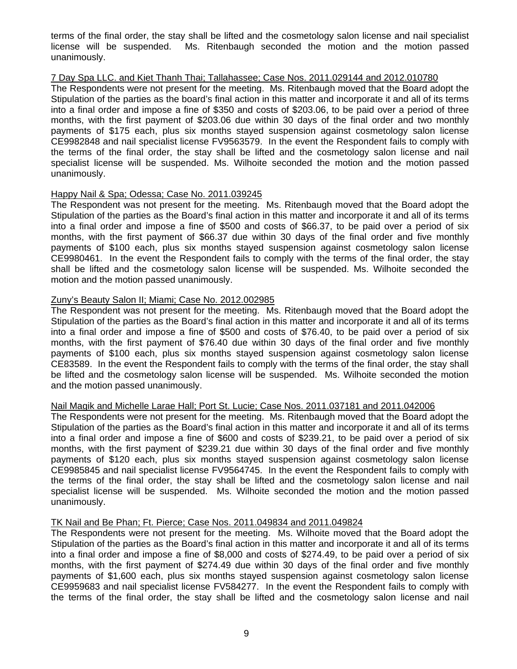terms of the final order, the stay shall be lifted and the cosmetology salon license and nail specialist license will be suspended. Ms. Ritenbaugh seconded the motion and the motion passed unanimously.

#### 7 Day Spa LLC. and Kiet Thanh Thai; Tallahassee; Case Nos. 2011.029144 and 2012.010780

The Respondents were not present for the meeting. Ms. Ritenbaugh moved that the Board adopt the Stipulation of the parties as the board's final action in this matter and incorporate it and all of its terms into a final order and impose a fine of \$350 and costs of \$203.06, to be paid over a period of three months, with the first payment of \$203.06 due within 30 days of the final order and two monthly payments of \$175 each, plus six months stayed suspension against cosmetology salon license CE9982848 and nail specialist license FV9563579. In the event the Respondent fails to comply with the terms of the final order, the stay shall be lifted and the cosmetology salon license and nail specialist license will be suspended. Ms. Wilhoite seconded the motion and the motion passed unanimously.

## Happy Nail & Spa; Odessa; Case No. 2011.039245

The Respondent was not present for the meeting. Ms. Ritenbaugh moved that the Board adopt the Stipulation of the parties as the Board's final action in this matter and incorporate it and all of its terms into a final order and impose a fine of \$500 and costs of \$66.37, to be paid over a period of six months, with the first payment of \$66.37 due within 30 days of the final order and five monthly payments of \$100 each, plus six months stayed suspension against cosmetology salon license CE9980461. In the event the Respondent fails to comply with the terms of the final order, the stay shall be lifted and the cosmetology salon license will be suspended. Ms. Wilhoite seconded the motion and the motion passed unanimously.

## Zuny's Beauty Salon II; Miami; Case No. 2012.002985

The Respondent was not present for the meeting. Ms. Ritenbaugh moved that the Board adopt the Stipulation of the parties as the Board's final action in this matter and incorporate it and all of its terms into a final order and impose a fine of \$500 and costs of \$76.40, to be paid over a period of six months, with the first payment of \$76.40 due within 30 days of the final order and five monthly payments of \$100 each, plus six months stayed suspension against cosmetology salon license CE83589. In the event the Respondent fails to comply with the terms of the final order, the stay shall be lifted and the cosmetology salon license will be suspended. Ms. Wilhoite seconded the motion and the motion passed unanimously.

## Nail Magik and Michelle Larae Hall; Port St. Lucie; Case Nos. 2011.037181 and 2011.042006

The Respondents were not present for the meeting. Ms. Ritenbaugh moved that the Board adopt the Stipulation of the parties as the Board's final action in this matter and incorporate it and all of its terms into a final order and impose a fine of \$600 and costs of \$239.21, to be paid over a period of six months, with the first payment of \$239.21 due within 30 days of the final order and five monthly payments of \$120 each, plus six months stayed suspension against cosmetology salon license CE9985845 and nail specialist license FV9564745. In the event the Respondent fails to comply with the terms of the final order, the stay shall be lifted and the cosmetology salon license and nail specialist license will be suspended. Ms. Wilhoite seconded the motion and the motion passed unanimously.

## TK Nail and Be Phan; Ft. Pierce; Case Nos. 2011.049834 and 2011.049824

The Respondents were not present for the meeting. Ms. Wilhoite moved that the Board adopt the Stipulation of the parties as the Board's final action in this matter and incorporate it and all of its terms into a final order and impose a fine of \$8,000 and costs of \$274.49, to be paid over a period of six months, with the first payment of \$274.49 due within 30 days of the final order and five monthly payments of \$1,600 each, plus six months stayed suspension against cosmetology salon license CE9959683 and nail specialist license FV584277. In the event the Respondent fails to comply with the terms of the final order, the stay shall be lifted and the cosmetology salon license and nail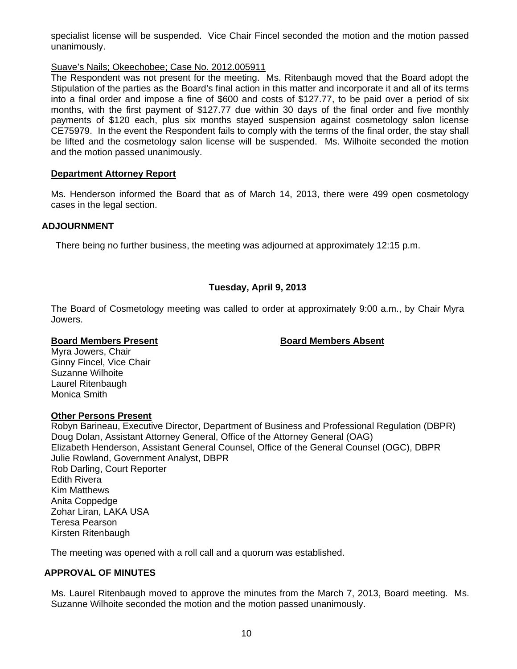specialist license will be suspended. Vice Chair Fincel seconded the motion and the motion passed unanimously.

# Suave's Nails; Okeechobee; Case No. 2012.005911

The Respondent was not present for the meeting. Ms. Ritenbaugh moved that the Board adopt the Stipulation of the parties as the Board's final action in this matter and incorporate it and all of its terms into a final order and impose a fine of \$600 and costs of \$127.77, to be paid over a period of six months, with the first payment of \$127.77 due within 30 days of the final order and five monthly payments of \$120 each, plus six months stayed suspension against cosmetology salon license CE75979. In the event the Respondent fails to comply with the terms of the final order, the stay shall be lifted and the cosmetology salon license will be suspended. Ms. Wilhoite seconded the motion and the motion passed unanimously.

## **Department Attorney Report**

Ms. Henderson informed the Board that as of March 14, 2013, there were 499 open cosmetology cases in the legal section.

## **ADJOURNMENT**

There being no further business, the meeting was adjourned at approximately 12:15 p.m.

# **Tuesday, April 9, 2013**

The Board of Cosmetology meeting was called to order at approximately 9:00 a.m., by Chair Myra Jowers.

## **Board Members Present Communist Board Members Absent**

Myra Jowers, Chair Ginny Fincel, Vice Chair Suzanne Wilhoite Laurel Ritenbaugh Monica Smith

## **Other Persons Present**

Robyn Barineau, Executive Director, Department of Business and Professional Regulation (DBPR) Doug Dolan, Assistant Attorney General, Office of the Attorney General (OAG) Elizabeth Henderson, Assistant General Counsel, Office of the General Counsel (OGC), DBPR Julie Rowland, Government Analyst, DBPR Rob Darling, Court Reporter Edith Rivera Kim Matthews Anita Coppedge Zohar Liran, LAKA USA Teresa Pearson Kirsten Ritenbaugh

The meeting was opened with a roll call and a quorum was established.

## **APPROVAL OF MINUTES**

Ms. Laurel Ritenbaugh moved to approve the minutes from the March 7, 2013, Board meeting. Ms. Suzanne Wilhoite seconded the motion and the motion passed unanimously.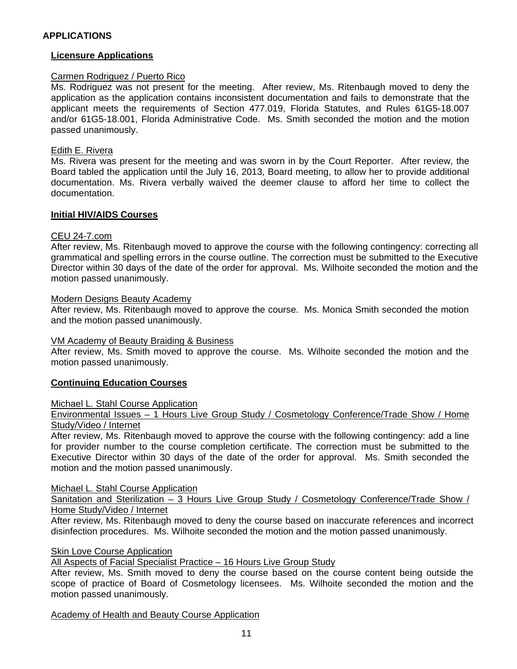## **Licensure Applications**

## Carmen Rodriguez / Puerto Rico

Ms. Rodriguez was not present for the meeting. After review, Ms. Ritenbaugh moved to deny the application as the application contains inconsistent documentation and fails to demonstrate that the applicant meets the requirements of Section 477.019, Florida Statutes, and Rules 61G5-18.007 and/or 61G5-18.001, Florida Administrative Code. Ms. Smith seconded the motion and the motion passed unanimously.

## Edith E. Rivera

Ms. Rivera was present for the meeting and was sworn in by the Court Reporter. After review, the Board tabled the application until the July 16, 2013, Board meeting, to allow her to provide additional documentation. Ms. Rivera verbally waived the deemer clause to afford her time to collect the documentation.

## **Initial HIV/AIDS Courses**

## CEU 24-7.com

After review, Ms. Ritenbaugh moved to approve the course with the following contingency: correcting all grammatical and spelling errors in the course outline. The correction must be submitted to the Executive Director within 30 days of the date of the order for approval. Ms. Wilhoite seconded the motion and the motion passed unanimously.

## Modern Designs Beauty Academy

After review, Ms. Ritenbaugh moved to approve the course. Ms. Monica Smith seconded the motion and the motion passed unanimously.

## VM Academy of Beauty Braiding & Business

After review, Ms. Smith moved to approve the course. Ms. Wilhoite seconded the motion and the motion passed unanimously.

## **Continuing Education Courses**

## Michael L. Stahl Course Application

Environmental Issues - 1 Hours Live Group Study / Cosmetology Conference/Trade Show / Home Study/Video / Internet

After review, Ms. Ritenbaugh moved to approve the course with the following contingency: add a line for provider number to the course completion certificate. The correction must be submitted to the Executive Director within 30 days of the date of the order for approval. Ms. Smith seconded the motion and the motion passed unanimously.

## Michael L. Stahl Course Application

Sanitation and Sterilization – 3 Hours Live Group Study / Cosmetology Conference/Trade Show / Home Study/Video / Internet

After review, Ms. Ritenbaugh moved to deny the course based on inaccurate references and incorrect disinfection procedures. Ms. Wilhoite seconded the motion and the motion passed unanimously.

## Skin Love Course Application

All Aspects of Facial Specialist Practice – 16 Hours Live Group Study

After review, Ms. Smith moved to deny the course based on the course content being outside the scope of practice of Board of Cosmetology licensees. Ms. Wilhoite seconded the motion and the motion passed unanimously.

Academy of Health and Beauty Course Application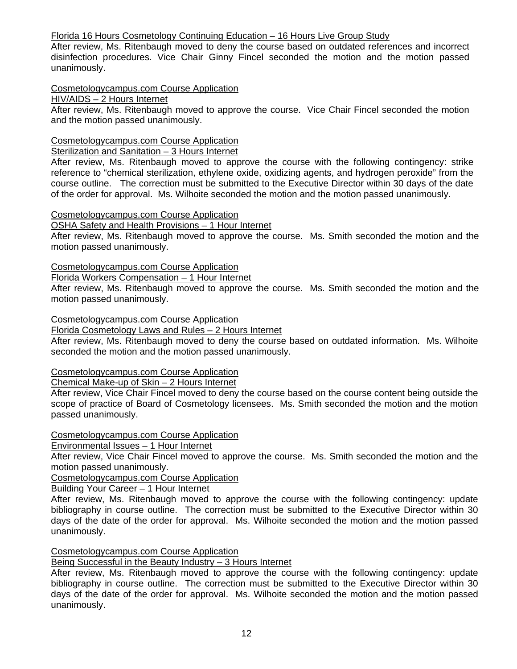# Florida 16 Hours Cosmetology Continuing Education – 16 Hours Live Group Study

After review, Ms. Ritenbaugh moved to deny the course based on outdated references and incorrect disinfection procedures. Vice Chair Ginny Fincel seconded the motion and the motion passed unanimously.

# Cosmetologycampus.com Course Application

# HIV/AIDS – 2 Hours Internet

After review, Ms. Ritenbaugh moved to approve the course. Vice Chair Fincel seconded the motion and the motion passed unanimously.

# Cosmetologycampus.com Course Application

# Sterilization and Sanitation – 3 Hours Internet

After review, Ms. Ritenbaugh moved to approve the course with the following contingency: strike reference to "chemical sterilization, ethylene oxide, oxidizing agents, and hydrogen peroxide" from the course outline. The correction must be submitted to the Executive Director within 30 days of the date of the order for approval. Ms. Wilhoite seconded the motion and the motion passed unanimously.

## Cosmetologycampus.com Course Application

OSHA Safety and Health Provisions – 1 Hour Internet

After review, Ms. Ritenbaugh moved to approve the course. Ms. Smith seconded the motion and the motion passed unanimously.

# Cosmetologycampus.com Course Application

Florida Workers Compensation – 1 Hour Internet

After review, Ms. Ritenbaugh moved to approve the course. Ms. Smith seconded the motion and the motion passed unanimously.

## Cosmetologycampus.com Course Application

Florida Cosmetology Laws and Rules – 2 Hours Internet

After review, Ms. Ritenbaugh moved to deny the course based on outdated information. Ms. Wilhoite seconded the motion and the motion passed unanimously.

## Cosmetologycampus.com Course Application

Chemical Make-up of Skin – 2 Hours Internet

After review, Vice Chair Fincel moved to deny the course based on the course content being outside the scope of practice of Board of Cosmetology licensees. Ms. Smith seconded the motion and the motion passed unanimously.

## Cosmetologycampus.com Course Application

Environmental Issues – 1 Hour Internet

After review, Vice Chair Fincel moved to approve the course. Ms. Smith seconded the motion and the motion passed unanimously.

Cosmetologycampus.com Course Application

Building Your Career – 1 Hour Internet

After review, Ms. Ritenbaugh moved to approve the course with the following contingency: update bibliography in course outline. The correction must be submitted to the Executive Director within 30 days of the date of the order for approval. Ms. Wilhoite seconded the motion and the motion passed unanimously.

## Cosmetologycampus.com Course Application

Being Successful in the Beauty Industry – 3 Hours Internet

After review, Ms. Ritenbaugh moved to approve the course with the following contingency: update bibliography in course outline. The correction must be submitted to the Executive Director within 30 days of the date of the order for approval. Ms. Wilhoite seconded the motion and the motion passed unanimously.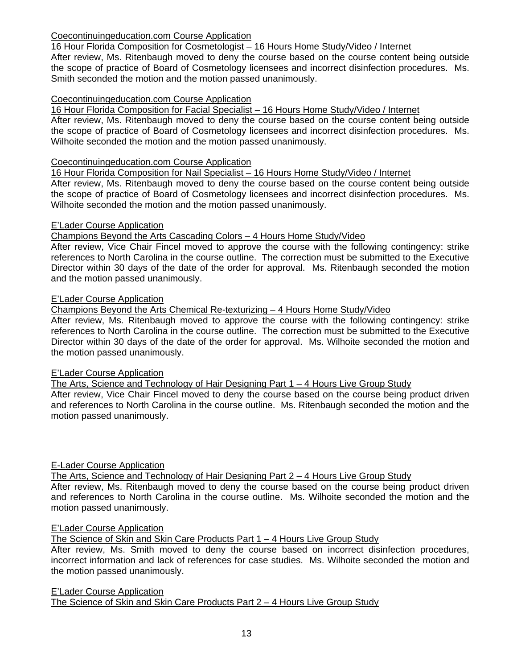# Coecontinuingeducation.com Course Application

# 16 Hour Florida Composition for Cosmetologist – 16 Hours Home Study/Video / Internet

After review, Ms. Ritenbaugh moved to deny the course based on the course content being outside the scope of practice of Board of Cosmetology licensees and incorrect disinfection procedures. Ms. Smith seconded the motion and the motion passed unanimously.

# Coecontinuingeducation.com Course Application

16 Hour Florida Composition for Facial Specialist – 16 Hours Home Study/Video / Internet

After review, Ms. Ritenbaugh moved to deny the course based on the course content being outside the scope of practice of Board of Cosmetology licensees and incorrect disinfection procedures. Ms. Wilhoite seconded the motion and the motion passed unanimously.

## Coecontinuingeducation.com Course Application

16 Hour Florida Composition for Nail Specialist – 16 Hours Home Study/Video / Internet

After review, Ms. Ritenbaugh moved to deny the course based on the course content being outside the scope of practice of Board of Cosmetology licensees and incorrect disinfection procedures. Ms. Wilhoite seconded the motion and the motion passed unanimously.

## E'Lader Course Application

Champions Beyond the Arts Cascading Colors – 4 Hours Home Study/Video

After review, Vice Chair Fincel moved to approve the course with the following contingency: strike references to North Carolina in the course outline. The correction must be submitted to the Executive Director within 30 days of the date of the order for approval. Ms. Ritenbaugh seconded the motion and the motion passed unanimously.

## E'Lader Course Application

Champions Beyond the Arts Chemical Re-texturizing – 4 Hours Home Study/Video

After review, Ms. Ritenbaugh moved to approve the course with the following contingency: strike references to North Carolina in the course outline. The correction must be submitted to the Executive Director within 30 days of the date of the order for approval. Ms. Wilhoite seconded the motion and the motion passed unanimously.

## E'Lader Course Application

The Arts, Science and Technology of Hair Designing Part 1 – 4 Hours Live Group Study

After review, Vice Chair Fincel moved to deny the course based on the course being product driven and references to North Carolina in the course outline. Ms. Ritenbaugh seconded the motion and the motion passed unanimously.

## E-Lader Course Application

The Arts, Science and Technology of Hair Designing Part 2 – 4 Hours Live Group Study After review, Ms. Ritenbaugh moved to deny the course based on the course being product driven and references to North Carolina in the course outline. Ms. Wilhoite seconded the motion and the motion passed unanimously.

## E'Lader Course Application

The Science of Skin and Skin Care Products Part 1 - 4 Hours Live Group Study

After review, Ms. Smith moved to deny the course based on incorrect disinfection procedures, incorrect information and lack of references for case studies. Ms. Wilhoite seconded the motion and the motion passed unanimously.

E'Lader Course Application The Science of Skin and Skin Care Products Part 2 - 4 Hours Live Group Study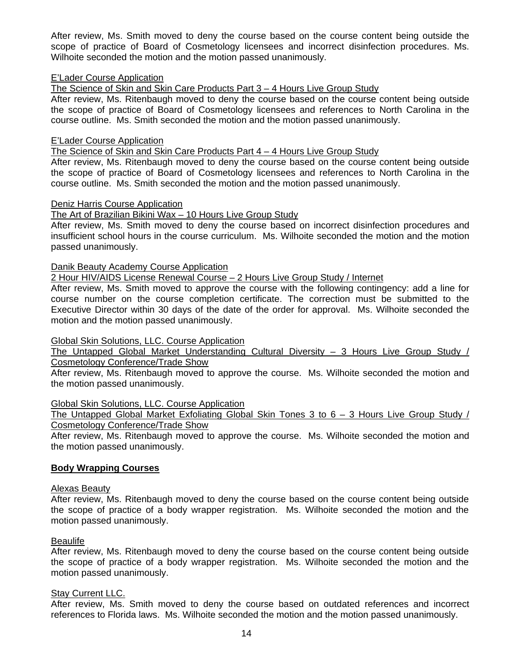After review, Ms. Smith moved to deny the course based on the course content being outside the scope of practice of Board of Cosmetology licensees and incorrect disinfection procedures. Ms. Wilhoite seconded the motion and the motion passed unanimously.

## E'Lader Course Application

The Science of Skin and Skin Care Products Part 3 – 4 Hours Live Group Study

After review, Ms. Ritenbaugh moved to deny the course based on the course content being outside the scope of practice of Board of Cosmetology licensees and references to North Carolina in the course outline. Ms. Smith seconded the motion and the motion passed unanimously.

#### E'Lader Course Application

The Science of Skin and Skin Care Products Part 4 – 4 Hours Live Group Study

After review, Ms. Ritenbaugh moved to deny the course based on the course content being outside the scope of practice of Board of Cosmetology licensees and references to North Carolina in the course outline. Ms. Smith seconded the motion and the motion passed unanimously.

#### Deniz Harris Course Application

## The Art of Brazilian Bikini Wax – 10 Hours Live Group Study

After review, Ms. Smith moved to deny the course based on incorrect disinfection procedures and insufficient school hours in the course curriculum. Ms. Wilhoite seconded the motion and the motion passed unanimously.

#### Danik Beauty Academy Course Application

2 Hour HIV/AIDS License Renewal Course – 2 Hours Live Group Study / Internet

After review, Ms. Smith moved to approve the course with the following contingency: add a line for course number on the course completion certificate. The correction must be submitted to the Executive Director within 30 days of the date of the order for approval. Ms. Wilhoite seconded the motion and the motion passed unanimously.

## Global Skin Solutions, LLC. Course Application

The Untapped Global Market Understanding Cultural Diversity – 3 Hours Live Group Study / Cosmetology Conference/Trade Show

After review, Ms. Ritenbaugh moved to approve the course. Ms. Wilhoite seconded the motion and the motion passed unanimously.

## Global Skin Solutions, LLC. Course Application

The Untapped Global Market Exfoliating Global Skin Tones 3 to 6 - 3 Hours Live Group Study / Cosmetology Conference/Trade Show

After review, Ms. Ritenbaugh moved to approve the course. Ms. Wilhoite seconded the motion and the motion passed unanimously.

## **Body Wrapping Courses**

## Alexas Beauty

After review, Ms. Ritenbaugh moved to deny the course based on the course content being outside the scope of practice of a body wrapper registration. Ms. Wilhoite seconded the motion and the motion passed unanimously.

#### Beaulife

After review, Ms. Ritenbaugh moved to deny the course based on the course content being outside the scope of practice of a body wrapper registration. Ms. Wilhoite seconded the motion and the motion passed unanimously.

## **Stay Current LLC.**

After review, Ms. Smith moved to deny the course based on outdated references and incorrect references to Florida laws. Ms. Wilhoite seconded the motion and the motion passed unanimously.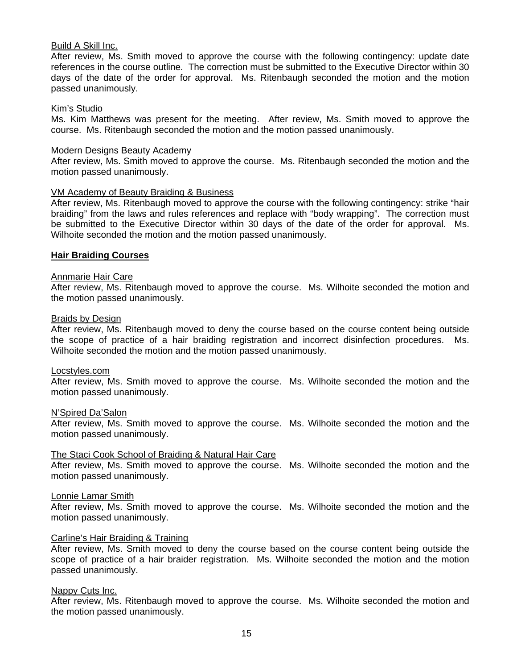## Build A Skill Inc.

After review, Ms. Smith moved to approve the course with the following contingency: update date references in the course outline. The correction must be submitted to the Executive Director within 30 days of the date of the order for approval. Ms. Ritenbaugh seconded the motion and the motion passed unanimously.

#### Kim's Studio

Ms. Kim Matthews was present for the meeting. After review, Ms. Smith moved to approve the course. Ms. Ritenbaugh seconded the motion and the motion passed unanimously.

#### Modern Designs Beauty Academy

After review, Ms. Smith moved to approve the course. Ms. Ritenbaugh seconded the motion and the motion passed unanimously.

#### VM Academy of Beauty Braiding & Business

After review, Ms. Ritenbaugh moved to approve the course with the following contingency: strike "hair braiding" from the laws and rules references and replace with "body wrapping". The correction must be submitted to the Executive Director within 30 days of the date of the order for approval. Ms. Wilhoite seconded the motion and the motion passed unanimously.

#### **Hair Braiding Courses**

## Annmarie Hair Care

After review, Ms. Ritenbaugh moved to approve the course. Ms. Wilhoite seconded the motion and the motion passed unanimously.

#### Braids by Design

After review, Ms. Ritenbaugh moved to deny the course based on the course content being outside the scope of practice of a hair braiding registration and incorrect disinfection procedures. Ms. Wilhoite seconded the motion and the motion passed unanimously.

#### Locstyles.com

After review, Ms. Smith moved to approve the course. Ms. Wilhoite seconded the motion and the motion passed unanimously.

#### N'Spired Da'Salon

After review, Ms. Smith moved to approve the course. Ms. Wilhoite seconded the motion and the motion passed unanimously.

#### The Staci Cook School of Braiding & Natural Hair Care

After review, Ms. Smith moved to approve the course. Ms. Wilhoite seconded the motion and the motion passed unanimously.

#### Lonnie Lamar Smith

After review, Ms. Smith moved to approve the course. Ms. Wilhoite seconded the motion and the motion passed unanimously.

#### Carline's Hair Braiding & Training

After review, Ms. Smith moved to deny the course based on the course content being outside the scope of practice of a hair braider registration. Ms. Wilhoite seconded the motion and the motion passed unanimously.

#### Nappy Cuts Inc.

After review, Ms. Ritenbaugh moved to approve the course. Ms. Wilhoite seconded the motion and the motion passed unanimously.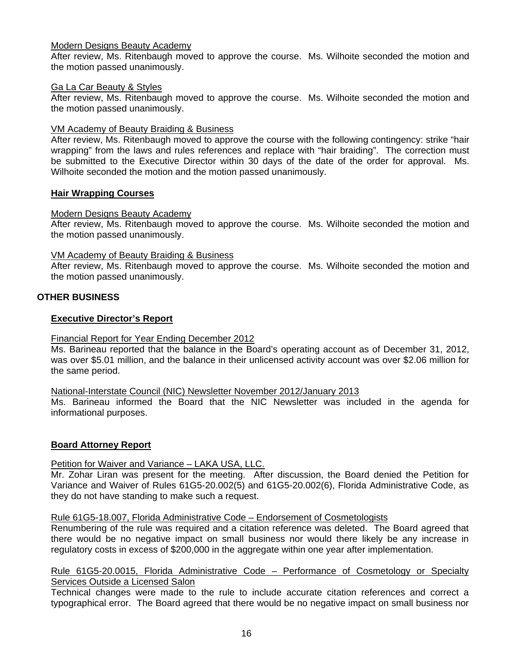## Modern Designs Beauty Academy

After review, Ms. Ritenbaugh moved to approve the course. Ms. Wilhoite seconded the motion and the motion passed unanimously.

## Ga La Car Beauty & Styles

After review, Ms. Ritenbaugh moved to approve the course. Ms. Wilhoite seconded the motion and the motion passed unanimously.

## VM Academy of Beauty Braiding & Business

After review, Ms. Ritenbaugh moved to approve the course with the following contingency: strike "hair wrapping" from the laws and rules references and replace with "hair braiding". The correction must be submitted to the Executive Director within 30 days of the date of the order for approval. Ms. Wilhoite seconded the motion and the motion passed unanimously.

## **Hair Wrapping Courses**

## Modern Designs Beauty Academy

After review, Ms. Ritenbaugh moved to approve the course. Ms. Wilhoite seconded the motion and the motion passed unanimously.

## VM Academy of Beauty Braiding & Business

After review, Ms. Ritenbaugh moved to approve the course. Ms. Wilhoite seconded the motion and the motion passed unanimously.

## **OTHER BUSINESS**

## **Executive Director's Report**

## Financial Report for Year Ending December 2012

Ms. Barineau reported that the balance in the Board's operating account as of December 31, 2012, was over \$5.01 million, and the balance in their unlicensed activity account was over \$2.06 million for the same period.

## National-Interstate Council (NIC) Newsletter November 2012/January 2013

Ms. Barineau informed the Board that the NIC Newsletter was included in the agenda for informational purposes.

## **Board Attorney Report**

## Petition for Waiver and Variance - LAKA USA, LLC.

Mr. Zohar Liran was present for the meeting. After discussion, the Board denied the Petition for Variance and Waiver of Rules 61G5-20.002(5) and 61G5-20.002(6), Florida Administrative Code, as they do not have standing to make such a request.

## Rule 61G5-18.007, Florida Administrative Code – Endorsement of Cosmetologists

Renumbering of the rule was required and a citation reference was deleted. The Board agreed that there would be no negative impact on small business nor would there likely be any increase in regulatory costs in excess of \$200,000 in the aggregate within one year after implementation.

## Rule 61G5-20.0015, Florida Administrative Code – Performance of Cosmetology or Specialty Services Outside a Licensed Salon

Technical changes were made to the rule to include accurate citation references and correct a typographical error. The Board agreed that there would be no negative impact on small business nor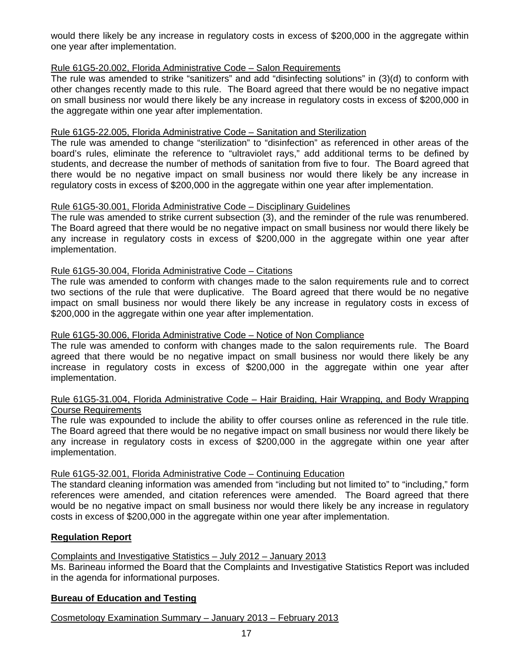would there likely be any increase in regulatory costs in excess of \$200,000 in the aggregate within one year after implementation.

# Rule 61G5-20.002, Florida Administrative Code – Salon Requirements

The rule was amended to strike "sanitizers" and add "disinfecting solutions" in (3)(d) to conform with other changes recently made to this rule. The Board agreed that there would be no negative impact on small business nor would there likely be any increase in regulatory costs in excess of \$200,000 in the aggregate within one year after implementation.

# Rule 61G5-22.005, Florida Administrative Code – Sanitation and Sterilization

The rule was amended to change "sterilization" to "disinfection" as referenced in other areas of the board's rules, eliminate the reference to "ultraviolet rays," add additional terms to be defined by students, and decrease the number of methods of sanitation from five to four. The Board agreed that there would be no negative impact on small business nor would there likely be any increase in regulatory costs in excess of \$200,000 in the aggregate within one year after implementation.

## Rule 61G5-30.001, Florida Administrative Code – Disciplinary Guidelines

The rule was amended to strike current subsection (3), and the reminder of the rule was renumbered. The Board agreed that there would be no negative impact on small business nor would there likely be any increase in regulatory costs in excess of \$200,000 in the aggregate within one year after implementation.

## Rule 61G5-30.004, Florida Administrative Code – Citations

The rule was amended to conform with changes made to the salon requirements rule and to correct two sections of the rule that were duplicative. The Board agreed that there would be no negative impact on small business nor would there likely be any increase in regulatory costs in excess of \$200,000 in the aggregate within one year after implementation.

## Rule 61G5-30.006, Florida Administrative Code – Notice of Non Compliance

The rule was amended to conform with changes made to the salon requirements rule. The Board agreed that there would be no negative impact on small business nor would there likely be any increase in regulatory costs in excess of \$200,000 in the aggregate within one year after implementation.

## Rule 61G5-31.004, Florida Administrative Code – Hair Braiding, Hair Wrapping, and Body Wrapping Course Requirements

The rule was expounded to include the ability to offer courses online as referenced in the rule title. The Board agreed that there would be no negative impact on small business nor would there likely be any increase in regulatory costs in excess of \$200,000 in the aggregate within one year after implementation.

## Rule 61G5-32.001, Florida Administrative Code – Continuing Education

The standard cleaning information was amended from "including but not limited to" to "including," form references were amended, and citation references were amended. The Board agreed that there would be no negative impact on small business nor would there likely be any increase in regulatory costs in excess of \$200,000 in the aggregate within one year after implementation.

## **Regulation Report**

## Complaints and Investigative Statistics – July 2012 – January 2013

Ms. Barineau informed the Board that the Complaints and Investigative Statistics Report was included in the agenda for informational purposes.

## **Bureau of Education and Testing**

Cosmetology Examination Summary – January 2013 – February 2013